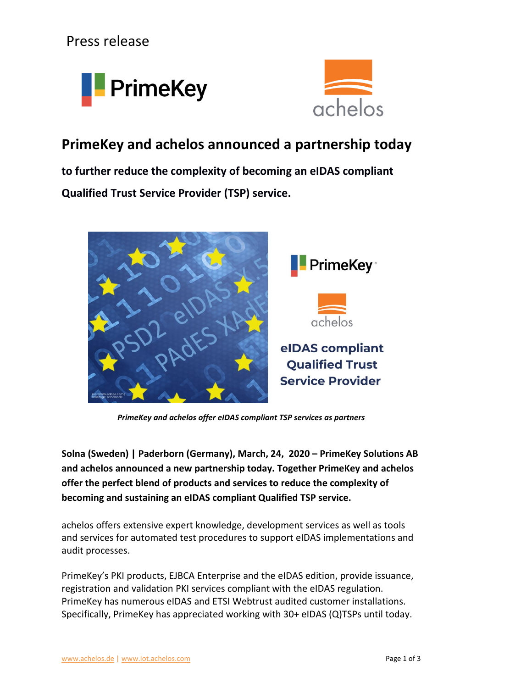Press release





## **PrimeKey and achelos announced a partnership today**

**to further reduce the complexity of becoming an eIDAS compliant Qualified Trust Service Provider (TSP) service.**



*PrimeKey and achelos offer eIDAS compliant TSP services as partners*

**Solna (Sweden) | Paderborn (Germany), March, 24, 2020 – PrimeKey Solutions AB and achelos announced a new partnership today. Together PrimeKey and achelos offer the perfect blend of products and services to reduce the complexity of becoming and sustaining an eIDAS compliant Qualified TSP service.**

achelos offers extensive expert knowledge, development services as well as tools and services for automated test procedures to support eIDAS implementations and audit processes.

PrimeKey's PKI products, EJBCA Enterprise and the eIDAS edition, provide issuance, registration and validation PKI services compliant with the eIDAS regulation. PrimeKey has numerous eIDAS and ETSI Webtrust audited customer installations. Specifically, PrimeKey has appreciated working with 30+ eIDAS (Q)TSPs until today.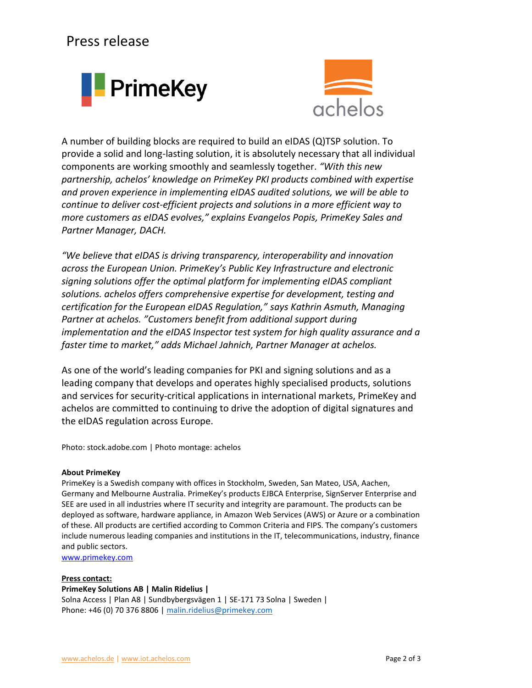## Press release





A number of building blocks are required to build an eIDAS (Q)TSP solution. To provide a solid and long-lasting solution, it is absolutely necessary that all individual components are working smoothly and seamlessly together. *"With this new partnership, achelos' knowledge on PrimeKey PKI products combined with expertise and proven experience in implementing eIDAS audited solutions, we will be able to continue to deliver cost-efficient projects and solutions in a more efficient way to more customers as eIDAS evolves," explains Evangelos Popis, PrimeKey Sales and Partner Manager, DACH.*

*"We believe that eIDAS is driving transparency, interoperability and innovation across the European Union. PrimeKey's Public Key Infrastructure and electronic signing solutions offer the optimal platform for implementing eIDAS compliant solutions. achelos offers comprehensive expertise for development, testing and certification for the European eIDAS Regulation," says Kathrin Asmuth, Managing Partner at achelos. "Customers benefit from additional support during implementation and the eIDAS Inspector test system for high quality assurance and a faster time to market," adds Michael Jahnich, Partner Manager at achelos.*

As one of the world's leading companies for PKI and signing solutions and as a leading company that develops and operates highly specialised products, solutions and services for security-critical applications in international markets, PrimeKey and achelos are committed to continuing to drive the adoption of digital signatures and the eIDAS regulation across Europe.

Photo: stock.adobe.com | Photo montage: achelos

### **About PrimeKey**

PrimeKey is a Swedish company with offices in Stockholm, Sweden, San Mateo, USA, Aachen, Germany and Melbourne Australia. PrimeKey's products EJBCA Enterprise, SignServer Enterprise and SEE are used in all industries where IT security and integrity are paramount. The products can be deployed as software, hardware appliance, in Amazon Web Services (AWS) or Azure or a combination of these. All products are certified according to Common Criteria and FIPS. The company's customers include numerous leading companies and institutions in the IT, telecommunications, industry, finance and public sectors.

[www.primekey.com](https://www.primekey.com/)

### **Press contact:**

### **PrimeKey Solutions AB | Malin Ridelius |**

Solna Access | Plan A8 | Sundbybergsvägen 1 | SE-171 73 Solna | Sweden | Phone: +46 (0) 70 376 8806 | [malin.ridelius@primekey.com](mailto:malin.ridelius@primekey.com)